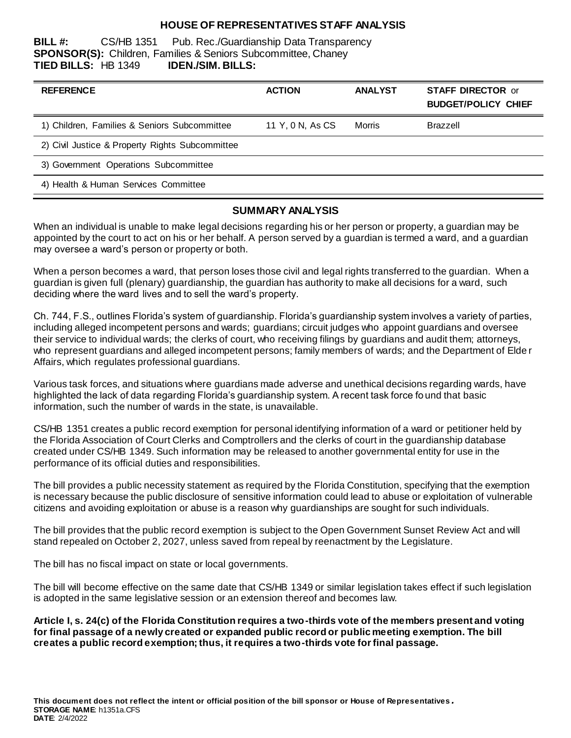#### **HOUSE OF REPRESENTATIVES STAFF ANALYSIS**

**BILL #:** CS/HB 1351 Pub. Rec./Guardianship Data Transparency **SPONSOR(S):** Children, Families & Seniors Subcommittee, Chaney **TIED BILLS:** HB 1349 **IDEN./SIM. BILLS:**

| <b>REFERENCE</b>                                | <b>ACTION</b>    | <b>ANALYST</b> | <b>STAFF DIRECTOR or</b><br><b>BUDGET/POLICY CHIEF</b> |
|-------------------------------------------------|------------------|----------------|--------------------------------------------------------|
| 1) Children, Families & Seniors Subcommittee    | 11 Y, 0 N, As CS | Morris         | <b>Brazzell</b>                                        |
| 2) Civil Justice & Property Rights Subcommittee |                  |                |                                                        |
| 3) Government Operations Subcommittee           |                  |                |                                                        |
| 4) Health & Human Services Committee            |                  |                |                                                        |

#### **SUMMARY ANALYSIS**

When an individual is unable to make legal decisions regarding his or her person or property, a guardian may be appointed by the court to act on his or her behalf. A person served by a guardian is termed a ward, and a guardian may oversee a ward's person or property or both.

When a person becomes a ward, that person loses those civil and legal rights transferred to the guardian. When a guardian is given full (plenary) guardianship, the guardian has authority to make all decisions for a ward, such deciding where the ward lives and to sell the ward's property.

Ch. 744, F.S., outlines Florida's system of guardianship. Florida's guardianship system involves a variety of parties, including alleged incompetent persons and wards; guardians; circuit judges who appoint guardians and oversee their service to individual wards; the clerks of court, who receiving filings by guardians and audit them; attorneys, who represent guardians and alleged incompetent persons; family members of wards; and the Department of Elde r Affairs, which regulates professional guardians.

Various task forces, and situations where guardians made adverse and unethical decisions regarding wards, have highlighted the lack of data regarding Florida's guardianship system. A recent task force fo und that basic information, such the number of wards in the state, is unavailable.

CS/HB 1351 creates a public record exemption for personal identifying information of a ward or petitioner held by the Florida Association of Court Clerks and Comptrollers and the clerks of court in the guardianship database created under CS/HB 1349. Such information may be released to another governmental entity for use in the performance of its official duties and responsibilities.

The bill provides a public necessity statement as required by the Florida Constitution, specifying that the exemption is necessary because the public disclosure of sensitive information could lead to abuse or exploitation of vulnerable citizens and avoiding exploitation or abuse is a reason why guardianships are sought for such individuals.

The bill provides that the public record exemption is subject to the Open Government Sunset Review Act and will stand repealed on October 2, 2027, unless saved from repeal by reenactment by the Legislature.

The bill has no fiscal impact on state or local governments.

The bill will become effective on the same date that CS/HB 1349 or similar legislation takes effect if such legislation is adopted in the same legislative session or an extension thereof and becomes law.

**Article I, s. 24(c) of the Florida Constitution requires a two-thirds vote of the members present and voting for final passage of a newly created or expanded public record or public meeting exemption. The bill creates a public record exemption; thus, it requires a two-thirds vote for final passage.**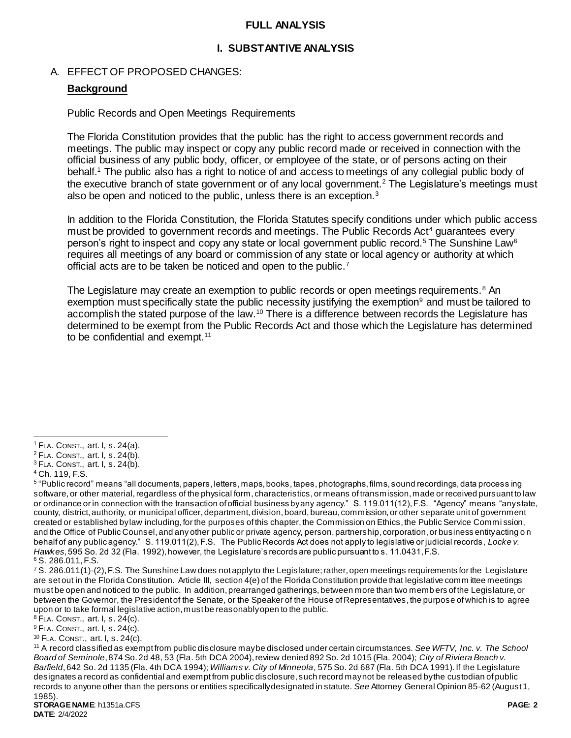#### **FULL ANALYSIS**

#### **I. SUBSTANTIVE ANALYSIS**

#### A. EFFECT OF PROPOSED CHANGES:

#### **Background**

Public Records and Open Meetings Requirements

The Florida Constitution provides that the public has the right to access government records and meetings. The public may inspect or copy any public record made or received in connection with the official business of any public body, officer, or employee of the state, or of persons acting on their behalf.<sup>1</sup> The public also has a right to notice of and access to meetings of any collegial public body of the executive branch of state government or of any local government.<sup>2</sup> The Legislature's meetings must also be open and noticed to the public, unless there is an exception.<sup>3</sup>

In addition to the Florida Constitution, the Florida Statutes specify conditions under which public access must be provided to government records and meetings. The Public Records Act<sup>4</sup> guarantees every person's right to inspect and copy any state or local government public record.<sup>5</sup> The Sunshine Law<sup>6</sup> requires all meetings of any board or commission of any state or local agency or authority at which official acts are to be taken be noticed and open to the public.<sup>7</sup>

The Legislature may create an exemption to public records or open meetings requirements.<sup>8</sup> An exemption must specifically state the public necessity justifying the exemption<sup>9</sup> and must be tailored to accomplish the stated purpose of the law.<sup>10</sup> There is a difference between records the Legislature has determined to be exempt from the Public Records Act and those which the Legislature has determined to be confidential and exempt.<sup>11</sup>

<sup>8</sup> FLA. CONST., art. I, s. 24(c).

<sup>9</sup> FLA. CONST., art. I, s. 24(c).

<sup>10</sup> FLA. CONST., art. I, s. 24(c).

 $\overline{a}$  $<sup>1</sup>$  FLA. CONST., art. I, s. 24(a).</sup>

<sup>2</sup> FLA. CONST., art. I, s. 24(b).

 $3$  FLA. CONST., art. I, s. 24(b).

<sup>4</sup> Ch. 119, F.S.

<sup>&</sup>lt;sup>5</sup> "Public record" means "all documents, papers, letters, maps, books, tapes, photographs, films, sound recordings, data process ing software, or other material, regardless of the physical form, characteristics, or means of transmission, made or received pursuant to law or ordinance or in connection with the transaction of official business by any agency." S. 119.011(12), F.S. "Agency" means "any state, county, district, authority, or municipal officer, department, division, board, bureau, commission, or other separate unit of government created or established by law including, for the purposes of this chapter, the Commission on Ethics, the Public Service Commi ssion, and the Office of Public Counsel, and any other public or private agency, person, partnership, corporation, or business entity acting o n behalf of any public agency." S. 119.011(2), F.S. The Public Records Act does not apply to legislative or judicial records, *Locke v. Hawkes*, 595 So. 2d 32 (Fla. 1992), however, the Legislature's records are public pursuant to s. 11.0431, F.S.

<sup>6</sup> S. 286.011, F.S.

 $7$  S. 286.011(1)-(2), F.S. The Sunshine Law does not apply to the Legislature; rather, open meetings requirements for the Legislature are set out in the Florida Constitution. Article III, section 4(e) of the Florida Constitution provide that legislative comm ittee meetings must be open and noticed to the public. In addition, prearranged gatherings, between more than two memb ers of the Legislature, or between the Governor, the President of the Senate, or the Speaker of the House of Representatives, the purpose of which is to agree upon or to take formal legislative action, must be reasonably open to the public.

<sup>11</sup> A record classified as exempt from public disclosure may be disclosed under certain circumstances. *See WFTV, Inc. v. The School Board of Seminole*, 874 So. 2d 48, 53 (Fla. 5th DCA 2004), review denied 892 So. 2d 1015 (Fla. 2004); *City of Riviera Beach v. Barfield*, 642 So. 2d 1135 (Fla. 4th DCA 1994); *Williams v. City of Minneola*, 575 So. 2d 687 (Fla. 5th DCA 1991). If the Legislature designates a record as confidential and exempt from public disclosure, such record may not be released by the custodian of public records to anyone other than the persons or entities specifically designated in statute. *See* Attorney General Opinion 85-62 (August 1, 1985).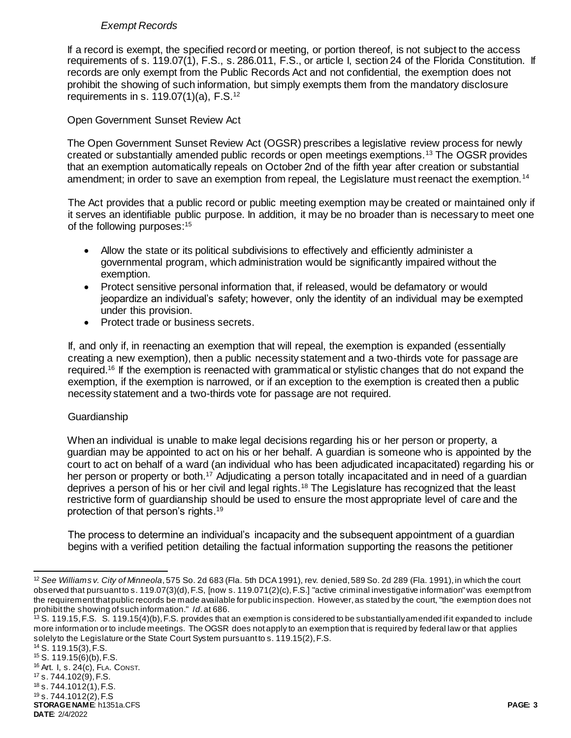# *Exempt Records*

If a record is exempt, the specified record or meeting, or portion thereof, is not subject to the access requirements of s. 119.07(1), F.S., s. 286.011, F.S., or article I, section 24 of the Florida Constitution. If records are only exempt from the Public Records Act and not confidential, the exemption does not prohibit the showing of such information, but simply exempts them from the mandatory disclosure requirements in s.  $119.07(1)(a)$ , F.S.<sup>12</sup>

# Open Government Sunset Review Act

The Open Government Sunset Review Act (OGSR) prescribes a legislative review process for newly created or substantially amended public records or open meetings exemptions.<sup>13</sup> The OGSR provides that an exemption automatically repeals on October 2nd of the fifth year after creation or substantial amendment; in order to save an exemption from repeal, the Legislature must reenact the exemption.<sup>14</sup>

The Act provides that a public record or public meeting exemption may be created or maintained only if it serves an identifiable public purpose. In addition, it may be no broader than is necessary to meet one of the following purposes:<sup>15</sup>

- Allow the state or its political subdivisions to effectively and efficiently administer a governmental program, which administration would be significantly impaired without the exemption.
- Protect sensitive personal information that, if released, would be defamatory or would jeopardize an individual's safety; however, only the identity of an individual may be exempted under this provision.
- Protect trade or business secrets.

If, and only if, in reenacting an exemption that will repeal, the exemption is expanded (essentially creating a new exemption), then a public necessity statement and a two-thirds vote for passage are required.<sup>16</sup> If the exemption is reenacted with grammatical or stylistic changes that do not expand the exemption, if the exemption is narrowed, or if an exception to the exemption is created then a public necessity statement and a two-thirds vote for passage are not required.

### **Guardianship**

When an individual is unable to make legal decisions regarding his or her person or property, a guardian may be appointed to act on his or her behalf. A guardian is someone who is appointed by the court to act on behalf of a ward (an individual who has been adjudicated incapacitated) regarding his or her person or property or both.<sup>17</sup> Adjudicating a person totally incapacitated and in need of a guardian deprives a person of his or her civil and legal rights.<sup>18</sup> The Legislature has recognized that the least restrictive form of guardianship should be used to ensure the most appropriate level of care and the protection of that person's rights.<sup>19</sup>

The process to determine an individual's incapacity and the subsequent appointment of a guardian begins with a verified petition detailing the factual information supporting the reasons the petitioner

**STORAGE NAME**: h1351a.CFS **PAGE: 3 DATE**: 2/4/2022 S. 119.15(3), F.S. S. 119.15(6)(b), F.S. Art. I, s. 24(c), FLA. CONST. s. 744.102(9), F.S. s. 744.1012(1), F.S. s. 744.1012(2), F.S

l <sup>12</sup> *See Williams v. City of Minneola*, 575 So. 2d 683 (Fla. 5th DCA 1991), rev. denied, 589 So. 2d 289 (Fla. 1991), in which the court observed that pursuant to s. 119.07(3)(d), F.S, [now s. 119.071(2)(c), F.S.] "active criminal investigative information" was exempt from the requirement that public records be made available for public inspection. However, as stated by the court, "the exemption does not prohibit the showing of such information." *Id*. at 686.

 $^{13}$  S. 119.15, F.S. S. 119.15(4)(b), F.S. provides that an exemption is considered to be substantially amended if it expanded to include more information or to include meetings. The OGSR does not apply to an exemption that is required by federal law or that applies solely to the Legislature or the State Court System pursuant to s. 119.15(2), F.S.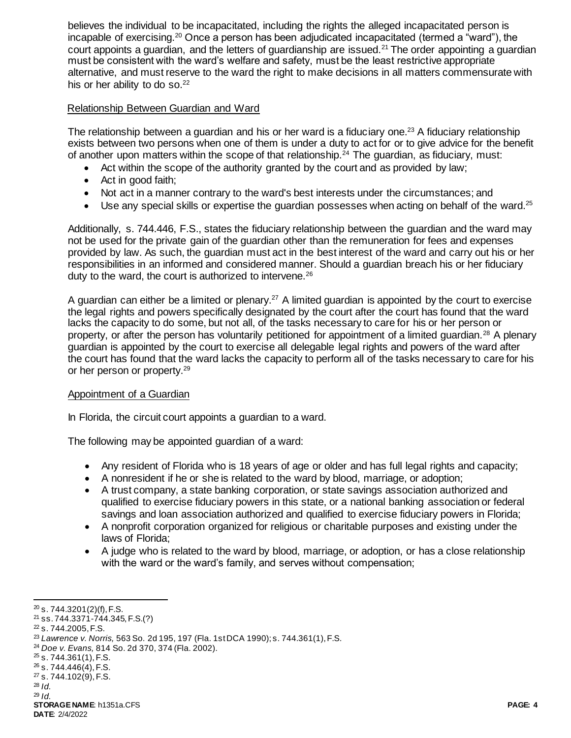believes the individual to be incapacitated, including the rights the alleged incapacitated person is incapable of exercising.<sup>20</sup> Once a person has been adjudicated incapacitated (termed a "ward"), the court appoints a guardian, and the letters of guardianship are issued.<sup>21</sup> The order appointing a guardian must be consistent with the ward's welfare and safety, must be the least restrictive appropriate alternative, and must reserve to the ward the right to make decisions in all matters commensurate with his or her ability to do so.<sup>22</sup>

### Relationship Between Guardian and Ward

The relationship between a guardian and his or her ward is a fiduciary one.<sup>23</sup> A fiduciary relationship exists between two persons when one of them is under a duty to act for or to give advice for the benefit of another upon matters within the scope of that relationship.<sup>24</sup> The quardian, as fiduciary, must:

- Act within the scope of the authority granted by the court and as provided by law;
- Act in good faith;
- Not act in a manner contrary to the ward's best interests under the circumstances; and
- $\bullet$  Use any special skills or expertise the quardian possesses when acting on behalf of the ward.<sup>25</sup>

Additionally, s. 744.446, F.S., states the fiduciary relationship between the guardian and the ward may not be used for the private gain of the guardian other than the remuneration for fees and expenses provided by law. As such, the guardian must act in the best interest of the ward and carry out his or her responsibilities in an informed and considered manner. Should a guardian breach his or her fiduciary duty to the ward, the court is authorized to intervene.<sup>26</sup>

A guardian can either be a limited or plenary.<sup>27</sup> A limited guardian is appointed by the court to exercise the legal rights and powers specifically designated by the court after the court has found that the ward lacks the capacity to do some, but not all, of the tasks necessary to care for his or her person or property, or after the person has voluntarily petitioned for appointment of a limited guardian.<sup>28</sup> A plenary guardian is appointed by the court to exercise all delegable legal rights and powers of the ward after the court has found that the ward lacks the capacity to perform all of the tasks necessary to care for his or her person or property.<sup>29</sup>

#### Appointment of a Guardian

In Florida, the circuit court appoints a guardian to a ward.

The following may be appointed guardian of a ward:

- Any resident of Florida who is 18 years of age or older and has full legal rights and capacity;
- A nonresident if he or she is related to the ward by blood, marriage, or adoption;
- A trust company, a state banking corporation, or state savings association authorized and qualified to exercise fiduciary powers in this state, or a national banking association or federal savings and loan association authorized and qualified to exercise fiduciary powers in Florida;
- A nonprofit corporation organized for religious or charitable purposes and existing under the laws of Florida;
- A judge who is related to the ward by blood, marriage, or adoption, or has a close relationship with the ward or the ward's family, and serves without compensation;

<sup>29</sup> *Id.*

 $20$  s. 744.3201(2)(f), F.S.

<sup>21</sup> ss. 744.3371-744.345, F.S.(?)

<sup>22</sup> s. 744.2005, F.S.

<sup>23</sup> *Lawrence v. Norris,* 563 So. 2d 195, 197 (Fla. 1st DCA 1990); s. 744.361(1), F.S.

<sup>24</sup> *Doe v. Evans,* 814 So. 2d 370, 374 (Fla. 2002).

 $25$  s. 744.361(1), F.S.

 $26$  s. 744.446(4), F.S. <sup>27</sup> s. 744.102(9), F.S.

<sup>28</sup> *Id.*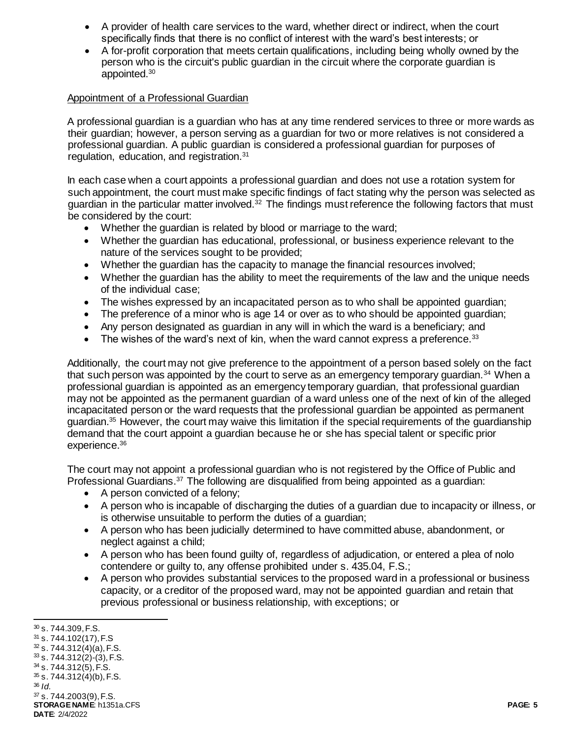- A provider of health care services to the ward, whether direct or indirect, when the court specifically finds that there is no conflict of interest with the ward's best interests; or
- A for-profit corporation that meets certain qualifications, including being wholly owned by the person who is the circuit's public guardian in the circuit where the corporate guardian is appointed.<sup>30</sup>

# **Appointment of a Professional Guardian**

A professional guardian is a guardian who has at any time rendered services to three or more wards as their guardian; however, a person serving as a guardian for two or more relatives is not considered a professional guardian. A public guardian is considered a professional guardian for purposes of regulation, education, and registration.<sup>31</sup>

In each case when a court appoints a professional guardian and does not use a rotation system for such appointment, the court must make specific findings of fact stating why the person was selected as guardian in the particular matter involved.<sup>32</sup> The findings must reference the following factors that must be considered by the court:

- Whether the guardian is related by blood or marriage to the ward;
- Whether the guardian has educational, professional, or business experience relevant to the nature of the services sought to be provided;
- Whether the guardian has the capacity to manage the financial resources involved;
- Whether the quardian has the ability to meet the requirements of the law and the unique needs of the individual case;
- The wishes expressed by an incapacitated person as to who shall be appointed guardian;
- The preference of a minor who is age 14 or over as to who should be appointed quardian;
- Any person designated as guardian in any will in which the ward is a beneficiary; and
- $\bullet$  The wishes of the ward's next of kin, when the ward cannot express a preference.<sup>33</sup>

Additionally, the court may not give preference to the appointment of a person based solely on the fact that such person was appointed by the court to serve as an emergency temporary quardian.<sup>34</sup> When a professional guardian is appointed as an emergency temporary guardian, that professional guardian may not be appointed as the permanent guardian of a ward unless one of the next of kin of the alleged incapacitated person or the ward requests that the professional guardian be appointed as permanent guardian.<sup>35</sup> However, the court may waive this limitation if the special requirements of the guardianship demand that the court appoint a guardian because he or she has special talent or specific prior experience.<sup>36</sup>

The court may not appoint a professional guardian who is not registered by the Office of Public and Professional Guardians.<sup>37</sup> The following are disqualified from being appointed as a guardian:

- A person convicted of a felony;
- A person who is incapable of discharging the duties of a guardian due to incapacity or illness, or is otherwise unsuitable to perform the duties of a guardian;
- A person who has been judicially determined to have committed abuse, abandonment, or neglect against a child;
- A person who has been found guilty of, regardless of adjudication, or entered a plea of nolo contendere or guilty to, any offense prohibited under s. 435.04, F.S.;
- A person who provides substantial services to the proposed ward in a professional or business capacity, or a creditor of the proposed ward, may not be appointed guardian and retain that previous professional or business relationship, with exceptions; or

**STORAGE NAME**: h1351a.CFS **PAGE: 5 DATE**: 2/4/2022  $37$  s. 744.2003(9), F.S.

l <sup>30</sup> s. 744.309, F.S.

 $31$  s. 744.102(17), F.S  $32$  s. 744.312(4)(a), F.S.  $33$  s. 744.312(2)-(3), F.S.  $34$  s. 744.312(5), F.S.  $35$  s. 744.312(4)(b), F.S. <sup>36</sup> *Id.*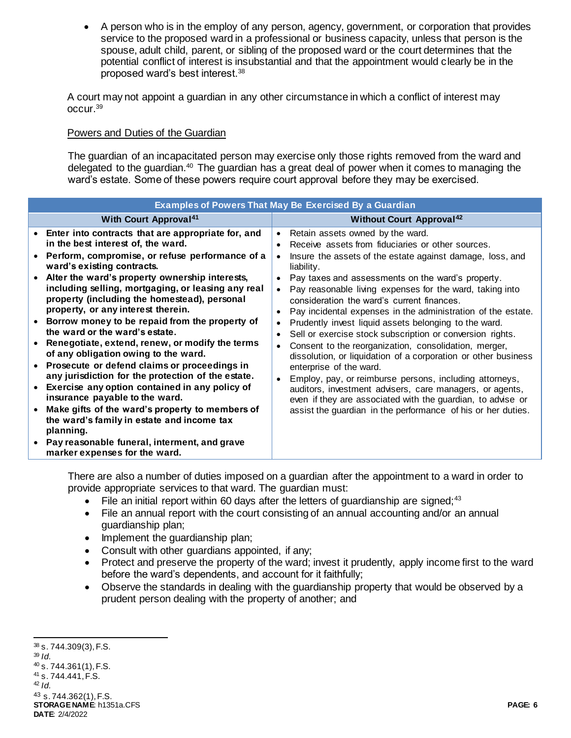A person who is in the employ of any person, agency, government, or corporation that provides service to the proposed ward in a professional or business capacity, unless that person is the spouse, adult child, parent, or sibling of the proposed ward or the court determines that the potential conflict of interest is insubstantial and that the appointment would clearly be in the proposed ward's best interest.<sup>38</sup>

A court may not appoint a guardian in any other circumstance in which a conflict of interest may occur.<sup>39</sup>

#### Powers and Duties of the Guardian

The guardian of an incapacitated person may exercise only those rights removed from the ward and delegated to the guardian.<sup>40</sup> The guardian has a great deal of power when it comes to managing the ward's estate. Some of these powers require court approval before they may be exercised.

| <b>Examples of Powers That May Be Exercised By a Guardian</b>                                                                                                                                                                                                                                                                                                                                                                                                                                                                                                                                                                                                                                                                                                                                                                                                                                                                                   |                                                                                                                                                                                                                                                                                                                                                                                                                                                                                                                                                                                                                                                                                                                                                                                                                                                                                                                                                                                                                                                                     |  |
|-------------------------------------------------------------------------------------------------------------------------------------------------------------------------------------------------------------------------------------------------------------------------------------------------------------------------------------------------------------------------------------------------------------------------------------------------------------------------------------------------------------------------------------------------------------------------------------------------------------------------------------------------------------------------------------------------------------------------------------------------------------------------------------------------------------------------------------------------------------------------------------------------------------------------------------------------|---------------------------------------------------------------------------------------------------------------------------------------------------------------------------------------------------------------------------------------------------------------------------------------------------------------------------------------------------------------------------------------------------------------------------------------------------------------------------------------------------------------------------------------------------------------------------------------------------------------------------------------------------------------------------------------------------------------------------------------------------------------------------------------------------------------------------------------------------------------------------------------------------------------------------------------------------------------------------------------------------------------------------------------------------------------------|--|
| <b>With Court Approval<sup>41</sup></b>                                                                                                                                                                                                                                                                                                                                                                                                                                                                                                                                                                                                                                                                                                                                                                                                                                                                                                         | <b>Without Court Approval</b> <sup>42</sup>                                                                                                                                                                                                                                                                                                                                                                                                                                                                                                                                                                                                                                                                                                                                                                                                                                                                                                                                                                                                                         |  |
| Enter into contracts that are appropriate for, and<br>in the best interest of, the ward.<br>Perform, compromise, or refuse performance of a<br>ward's existing contracts.<br>Alter the ward's property ownership interests,<br>including selling, mortgaging, or leasing any real<br>property (including the homestead), personal<br>property, or any interest therein.<br>Borrow money to be repaid from the property of<br>the ward or the ward's estate.<br>Renegotiate, extend, renew, or modify the terms<br>of any obligation owing to the ward.<br>Prosecute or defend claims or proceedings in<br>any jurisdiction for the protection of the estate.<br>Exercise any option contained in any policy of<br>insurance payable to the ward.<br>Make gifts of the ward's property to members of<br>the ward's family in estate and income tax<br>planning.<br>Pay reasonable funeral, interment, and grave<br>marker expenses for the ward. | Retain assets owned by the ward.<br>$\bullet$<br>Receive assets from fiduciaries or other sources.<br>$\bullet$<br>Insure the assets of the estate against damage, loss, and<br>$\bullet$<br>liability.<br>Pay taxes and assessments on the ward's property.<br>$\bullet$<br>Pay reasonable living expenses for the ward, taking into<br>$\bullet$<br>consideration the ward's current finances.<br>Pay incidental expenses in the administration of the estate.<br>$\bullet$<br>Prudently invest liquid assets belonging to the ward.<br>$\bullet$<br>Sell or exercise stock subscription or conversion rights.<br>$\bullet$<br>Consent to the reorganization, consolidation, merger,<br>$\bullet$<br>dissolution, or liquidation of a corporation or other business<br>enterprise of the ward.<br>Employ, pay, or reimburse persons, including attorneys,<br>$\bullet$<br>auditors, investment advisers, care managers, or agents,<br>even if they are associated with the guardian, to advise or<br>assist the guardian in the performance of his or her duties. |  |

There are also a number of duties imposed on a guardian after the appointment to a ward in order to provide appropriate services to that ward. The guardian must:

- File an initial report within 60 days after the letters of guardianship are signed;<sup>43</sup>
- File an annual report with the court consisting of an annual accounting and/or an annual guardianship plan;
- Implement the guardianship plan;
- Consult with other quardians appointed, if any;
- Protect and preserve the property of the ward; invest it prudently, apply income first to the ward before the ward's dependents, and account for it faithfully;
- Observe the standards in dealing with the guardianship property that would be observed by a prudent person dealing with the property of another; and

**STORAGE NAME**: h1351a.CFS **PAGE: 6 DATE**: 2/4/2022  $38$  s. 744.309(3), F.S. <sup>39</sup> *Id.*  $40$  s. 744.361(1), F.S. <sup>41</sup> s. 744.441, F.S. <sup>42</sup> *Id.* <sup>43</sup> s. 744.362(1), F.S.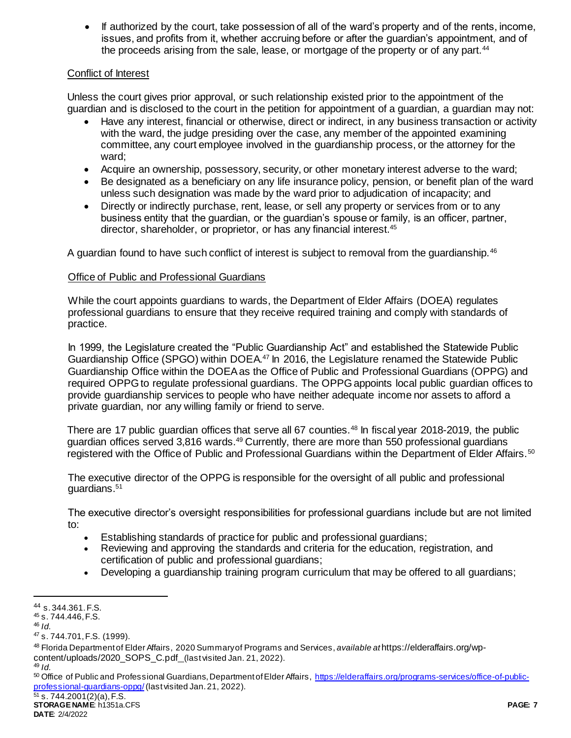If authorized by the court, take possession of all of the ward's property and of the rents, income, issues, and profits from it, whether accruing before or after the guardian's appointment, and of the proceeds arising from the sale, lease, or mortgage of the property or of any part.<sup>44</sup>

# Conflict of Interest

Unless the court gives prior approval, or such relationship existed prior to the appointment of the guardian and is disclosed to the court in the petition for appointment of a guardian, a guardian may not:

- Have any interest, financial or otherwise, direct or indirect, in any business transaction or activity with the ward, the judge presiding over the case, any member of the appointed examining committee, any court employee involved in the guardianship process, or the attorney for the ward;
- Acquire an ownership, possessory, security, or other monetary interest adverse to the ward;
- Be designated as a beneficiary on any life insurance policy, pension, or benefit plan of the ward unless such designation was made by the ward prior to adjudication of incapacity; and
- Directly or indirectly purchase, rent, lease, or sell any property or services from or to any business entity that the guardian, or the guardian's spouse or family, is an officer, partner, director, shareholder, or proprietor, or has any financial interest.<sup>45</sup>

A guardian found to have such conflict of interest is subject to removal from the quardianship.<sup>46</sup>

#### Office of Public and Professional Guardians

While the court appoints guardians to wards, the Department of Elder Affairs (DOEA) regulates professional guardians to ensure that they receive required training and comply with standards of practice.

In 1999, the Legislature created the "Public Guardianship Act" and established the Statewide Public Guardianship Office (SPGO) within DOEA.<sup>47</sup> In 2016, the Legislature renamed the Statewide Public Guardianship Office within the DOEA as the Office of Public and Professional Guardians (OPPG) and required OPPG to regulate professional guardians. The OPPG appoints local public guardian offices to provide guardianship services to people who have neither adequate income nor assets to afford a private guardian, nor any willing family or friend to serve.

There are 17 public guardian offices that serve all 67 counties.<sup>48</sup> In fiscal year 2018-2019, the public guardian offices served 3,816 wards.<sup>49</sup> Currently, there are more than 550 professional guardians registered with the Office of Public and Professional Guardians within the Department of Elder Affairs.<sup>50</sup>

The executive director of the OPPG is responsible for the oversight of all public and professional guardians.<sup>51</sup>

The executive director's oversight responsibilities for professional guardians include but are not limited to:

- Establishing standards of practice for public and professional guardians;
- Reviewing and approving the standards and criteria for the education, registration, and certification of public and professional guardians;
- Developing a guardianship training program curriculum that may be offered to all guardians;

<sup>44</sup> s. 344.361. F.S.

<sup>45</sup> s. 744.446, F.S.

<sup>46</sup> *Id.*

<sup>47</sup> s. 744.701, F.S. (1999).

<sup>48</sup> Florida Department of Elder Affairs, 2020 Summary of Programs and Services, *available at* https://elderaffairs.org/wpcontent/uploads/2020\_SOPS\_C.pdf\_(last visited Jan. 21, 2022).

<sup>49</sup> *Id.*

<sup>50</sup> Office of Public and Professional Guardians, Department of Elder Affairs, [https://elderaffairs.org/programs-services/office-of-public](https://elderaffairs.org/programs-services/office-of-public-professional-guardians-oppg/)[professional-guardians-oppg/](https://elderaffairs.org/programs-services/office-of-public-professional-guardians-oppg/)(last visited Jan. 21, 2022).

**STORAGE NAME**: h1351a.CFS **PAGE: 7**  $51$  s. 744.2001(2)(a), F.S.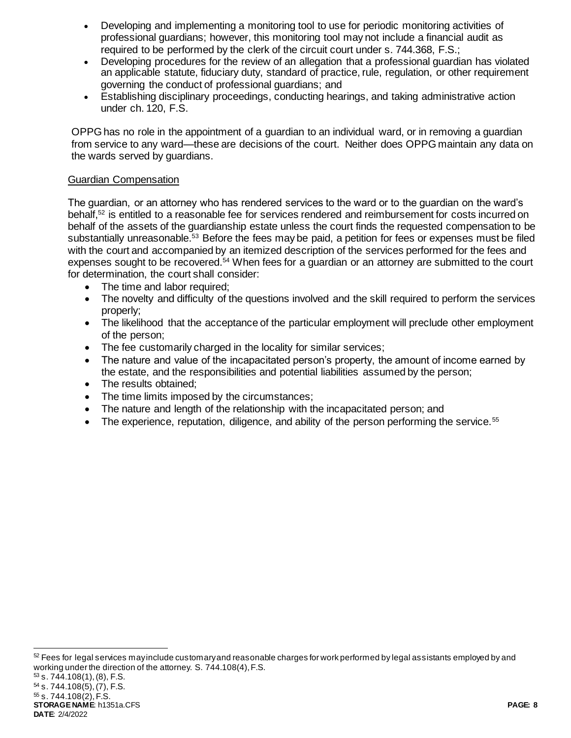- Developing and implementing a monitoring tool to use for periodic monitoring activities of professional guardians; however, this monitoring tool may not include a financial audit as required to be performed by the clerk of the circuit court under s. 744.368, F.S.;
- Developing procedures for the review of an allegation that a professional guardian has violated an applicable statute, fiduciary duty, standard of practice, rule, regulation, or other requirement governing the conduct of professional guardians; and
- Establishing disciplinary proceedings, conducting hearings, and taking administrative action under ch. 120, F.S.

OPPG has no role in the appointment of a guardian to an individual ward, or in removing a guardian from service to any ward—these are decisions of the court. Neither does OPPG maintain any data on the wards served by guardians.

### Guardian Compensation

The guardian, or an attorney who has rendered services to the ward or to the guardian on the ward's behalf,<sup>52</sup> is entitled to a reasonable fee for services rendered and reimbursement for costs incurred on behalf of the assets of the guardianship estate unless the court finds the requested compensation to be substantially unreasonable.<sup>53</sup> Before the fees may be paid, a petition for fees or expenses must be filed with the court and accompanied by an itemized description of the services performed for the fees and expenses sought to be recovered.<sup>54</sup> When fees for a guardian or an attorney are submitted to the court for determination, the court shall consider:

- The time and labor required;
- The novelty and difficulty of the questions involved and the skill required to perform the services properly;
- The likelihood that the acceptance of the particular employment will preclude other employment of the person;
- The fee customarily charged in the locality for similar services;
- The nature and value of the incapacitated person's property, the amount of income earned by the estate, and the responsibilities and potential liabilities assumed by the person;
- The results obtained;
- The time limits imposed by the circumstances;
- The nature and length of the relationship with the incapacitated person; and
- The experience, reputation, diligence, and ability of the person performing the service.<sup>55</sup>

 $52$  Fees for legal services may include customary and reasonable charges for work performed by legal assistants employed by and working under the direction of the attorney. S. 744.108(4), F.S.  $53$  s. 744.108(1), (8), F.S.

**STORAGE NAME**: h1351a.CFS **PAGE: 8 DATE**: 2/4/2022 <sup>54</sup> s. 744.108(5), (7), F.S. <sup>55</sup> s. 744.108(2), F.S.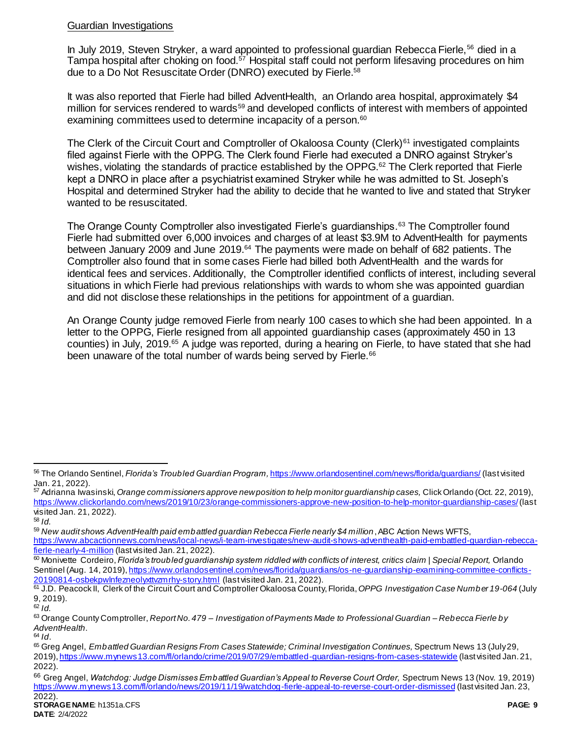# Guardian Investigations

In July 2019, Steven Stryker, a ward appointed to professional guardian Rebecca Fierle.<sup>56</sup> died in a Tampa hospital after choking on food.<sup>57</sup> Hospital staff could not perform lifesaving procedures on him due to a Do Not Resuscitate Order (DNRO) executed by Fierle. 58

It was also reported that Fierle had billed AdventHealth, an Orlando area hospital, approximately \$4 million for services rendered to wards<sup>59</sup> and developed conflicts of interest with members of appointed examining committees used to determine incapacity of a person.<sup>60</sup>

The Clerk of the Circuit Court and Comptroller of Okaloosa County (Clerk)<sup>61</sup> investigated complaints filed against Fierle with the OPPG. The Clerk found Fierle had executed a DNRO against Stryker's wishes, violating the standards of practice established by the OPPG.<sup>62</sup> The Clerk reported that Fierle kept a DNRO in place after a psychiatrist examined Stryker while he was admitted to St. Joseph's Hospital and determined Stryker had the ability to decide that he wanted to live and stated that Stryker wanted to be resuscitated.

The Orange County Comptroller also investigated Fierle's guardianships.<sup>63</sup> The Comptroller found Fierle had submitted over 6,000 invoices and charges of at least \$3.9M to AdventHealth for payments between January 2009 and June 2019.<sup>64</sup> The payments were made on behalf of 682 patients. The Comptroller also found that in some cases Fierle had billed both AdventHealth and the wards for identical fees and services. Additionally, the Comptroller identified conflicts of interest, including several situations in which Fierle had previous relationships with wards to whom she was appointed guardian and did not disclose these relationships in the petitions for appointment of a guardian.

An Orange County judge removed Fierle from nearly 100 cases to which she had been appointed. In a letter to the OPPG, Fierle resigned from all appointed guardianship cases (approximately 450 in 13 counties) in July, 2019.<sup>65</sup> A judge was reported, during a hearing on Fierle, to have stated that she had been unaware of the total number of wards being served by Fierle.<sup>66</sup>

 $\overline{a}$ 

<sup>59</sup> *New audit shows AdventHealth paid embattled guardian Rebecca Fierle nearly \$4 million*, ABC Action News WFTS, [https://www.abcactionnews.com/news/local-news/i-team-investigates/new-audit-shows-adventhealth-paid-embattled-guardian-rebecca](https://www.abcactionnews.com/news/local-news/i-team-investigates/new-audit-shows-adventhealth-paid-embattled-guardian-rebecca-fierle-nearly-4-million)[fierle-nearly-4-million](https://www.abcactionnews.com/news/local-news/i-team-investigates/new-audit-shows-adventhealth-paid-embattled-guardian-rebecca-fierle-nearly-4-million) (last visited Jan. 21, 2022).

<sup>60</sup> Monivette Cordeiro, *Florida's troubled guardianship system riddled with conflicts of interest, critics claim | Special Report,* Orlando Sentinel (Aug. 14, 2019)[, https://www.orlandosentinel.com/news/florida/guardians/os-ne-guardianship-examining-committee-conflicts-](https://www.orlandosentinel.com/news/florida/guardians/os-ne-guardianship-examining-committee-conflicts-20190814-osbekpwlnfezneolyxttvzmrhy-story.html)[20190814-osbekpwlnfezneolyxttvzmrhy-story.html](https://www.orlandosentinel.com/news/florida/guardians/os-ne-guardianship-examining-committee-conflicts-20190814-osbekpwlnfezneolyxttvzmrhy-story.html) (last visited Jan. 21, 2022).

<sup>56</sup> The Orlando Sentinel, *Florida's Troubled Guardian Program,* <https://www.orlandosentinel.com/news/florida/guardians/> (last visited Jan. 21, 2022).

<sup>57</sup> Adrianna Iwasinski, *Orange commissioners approve new position to help monitor guardianship cases,* Click Orlando (Oct. 22, 2019), <https://www.clickorlando.com/news/2019/10/23/orange-commissioners-approve-new-position-to-help-monitor-guardianship-cases/>(last visited Jan. 21, 2022).

<sup>58</sup> *Id.*

<sup>61</sup> J.D. Peacock II, Clerk of the Circuit Court and Comptroller Okaloosa County, Florida, *OPPG Investigation Case Number 19-064* (July 9, 2019).

<sup>62</sup> *Id.*

<sup>63</sup> Orange County Comptroller, *Report No. 479 – Investigation of Payments Made to Professional Guardian – Rebecca Fierle by AdventHealth*.

<sup>64</sup> *Id*.

<sup>65</sup> Greg Angel, *Embattled Guardian Resigns From Cases Statewide; Criminal Investigation Continues,* Spectrum News 13 (July 29, 2019)[, https://www.mynews13.com/fl/orlando/crime/2019/07/29/embattled-guardian-resigns-from-cases-statewide](https://www.mynews13.com/fl/orlando/crime/2019/07/29/embattled-guardian-resigns-from-cases-statewide) (last visited Jan. 21, 2022).

<sup>66</sup> Greg Angel, *Watchdog: Judge Dismisses Embattled Guardian's Appeal to Reverse Court Order,* Spectrum News 13 (Nov. 19, 2019) <https://www.mynews13.com/fl/orlando/news/2019/11/19/watchdog-fierle-appeal-to-reverse-court-order-dismissed> (last visited Jan. 23, 2022).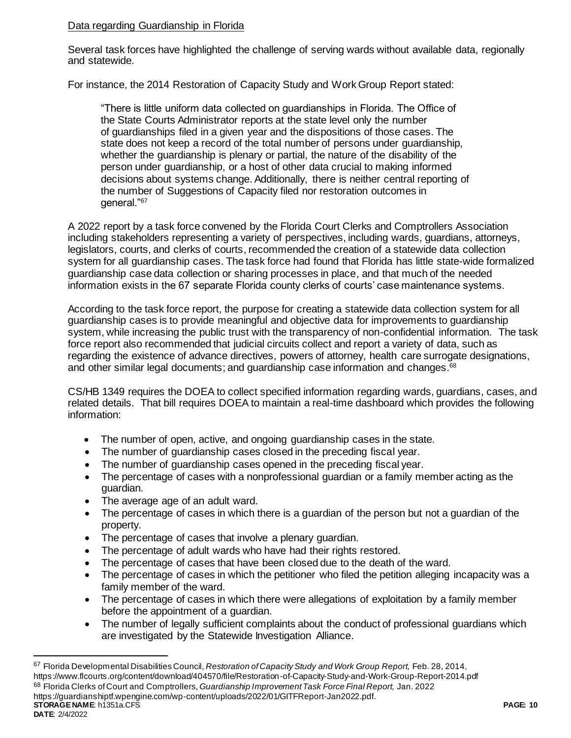# Data regarding Guardianship in Florida

Several task forces have highlighted the challenge of serving wards without available data, regionally and statewide.

For instance, the 2014 Restoration of Capacity Study and Work Group Report stated:

"There is little uniform data collected on guardianships in Florida. The Office of the State Courts Administrator reports at the state level only the number of guardianships filed in a given year and the dispositions of those cases. The state does not keep a record of the total number of persons under guardianship, whether the guardianship is plenary or partial, the nature of the disability of the person under guardianship, or a host of other data crucial to making informed decisions about systems change. Additionally, there is neither central reporting of the number of Suggestions of Capacity filed nor restoration outcomes in general."<sup>67</sup>

A 2022 report by a task force convened by the Florida Court Clerks and Comptrollers Association including stakeholders representing a variety of perspectives, including wards, guardians, attorneys, legislators, courts, and clerks of courts, recommended the creation of a statewide data collection system for all guardianship cases. The task force had found that Florida has little state-wide formalized guardianship case data collection or sharing processes in place, and that much of the needed information exists in the 67 separate Florida county clerks of courts' case maintenance systems.

According to the task force report, the purpose for creating a statewide data collection system for all guardianship cases is to provide meaningful and objective data for improvements to guardianship system, while increasing the public trust with the transparency of non-confidential information. The task force report also recommended that judicial circuits collect and report a variety of data, such as regarding the existence of advance directives, powers of attorney, health care surrogate designations, and other similar legal documents; and guardianship case information and changes.<sup>68</sup>

CS/HB 1349 requires the DOEA to collect specified information regarding wards, guardians, cases, and related details. That bill requires DOEA to maintain a real-time dashboard which provides the following information:

- The number of open, active, and ongoing guardianship cases in the state.
- The number of quardianship cases closed in the preceding fiscal year.
- The number of guardianship cases opened in the preceding fiscal year.
- The percentage of cases with a nonprofessional guardian or a family member acting as the guardian.
- The average age of an adult ward.

 $\overline{a}$ 

- The percentage of cases in which there is a guardian of the person but not a guardian of the property.
- The percentage of cases that involve a plenary guardian.
- The percentage of adult wards who have had their rights restored.
- The percentage of cases that have been closed due to the death of the ward.
- The percentage of cases in which the petitioner who filed the petition alleging incapacity was a family member of the ward.
- The percentage of cases in which there were allegations of exploitation by a family member before the appointment of a guardian.
- The number of legally sufficient complaints about the conduct of professional quardians which are investigated by the Statewide Investigation Alliance.

**STORAGE NAME**: h1351a.CFS **PAGE: 10 DATE**: 2/4/2022 <sup>67</sup> Florida Developmental Disabilities Council, *Restoration of Capacity Study and Work Group Report,* Feb. 28, 2014, https://www.flcourts.org/content/download/404570/file/Restoration-of-Capacity-Study-and-Work-Group-Report-2014.pdf <sup>68</sup> Florida Clerks of Court and Comptrollers, *Guardianship Improvement Task Force Final Report,* Jan. 2022 https://guardianshiptf.wpengine.com/wp-content/uploads/2022/01/GITFReport-Jan2022.pdf.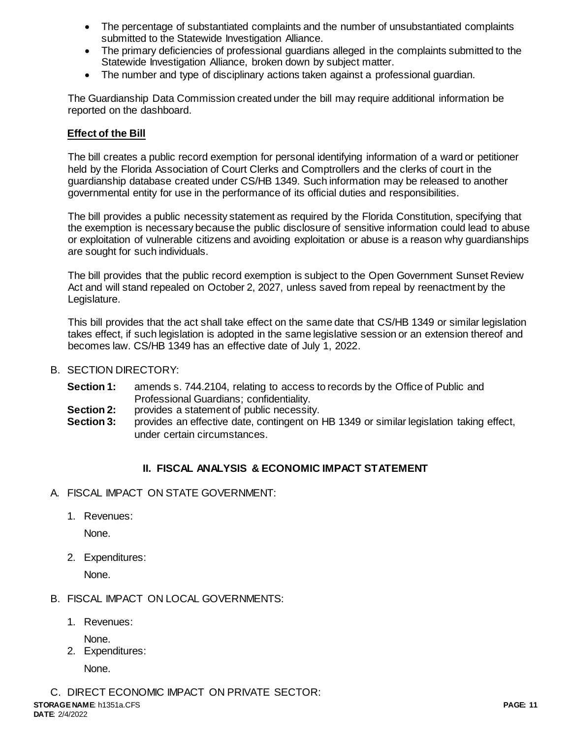- The percentage of substantiated complaints and the number of unsubstantiated complaints submitted to the Statewide Investigation Alliance.
- The primary deficiencies of professional guardians alleged in the complaints submitted to the Statewide Investigation Alliance, broken down by subject matter.
- The number and type of disciplinary actions taken against a professional guardian.

The Guardianship Data Commission created under the bill may require additional information be reported on the dashboard.

# **Effect of the Bill**

The bill creates a public record exemption for personal identifying information of a ward or petitioner held by the Florida Association of Court Clerks and Comptrollers and the clerks of court in the guardianship database created under CS/HB 1349. Such information may be released to another governmental entity for use in the performance of its official duties and responsibilities.

The bill provides a public necessity statement as required by the Florida Constitution, specifying that the exemption is necessary because the public disclosure of sensitive information could lead to abuse or exploitation of vulnerable citizens and avoiding exploitation or abuse is a reason why guardianships are sought for such individuals.

The bill provides that the public record exemption is subject to the Open Government Sunset Review Act and will stand repealed on October 2, 2027, unless saved from repeal by reenactment by the Legislature.

This bill provides that the act shall take effect on the same date that CS/HB 1349 or similar legislation takes effect, if such legislation is adopted in the same legislative session or an extension thereof and becomes law. CS/HB 1349 has an effective date of July 1, 2022.

- B. SECTION DIRECTORY:
	- **Section 1:** amends s. 744.2104, relating to access to records by the Office of Public and Professional Guardians; confidentiality.
	- **Section 2:** provides a statement of public necessity.
	- **Section 3:** provides an effective date, contingent on HB 1349 or similar legislation taking effect, under certain circumstances.

### **II. FISCAL ANALYSIS & ECONOMIC IMPACT STATEMENT**

- A. FISCAL IMPACT ON STATE GOVERNMENT:
	- 1. Revenues:

None.

2. Expenditures:

None.

- B. FISCAL IMPACT ON LOCAL GOVERNMENTS:
	- 1. Revenues:

None.

2. Expenditures:

None.

**STORAGE NAME**: h1351a.CFS **PAGE: 11** C. DIRECT ECONOMIC IMPACT ON PRIVATE SECTOR: